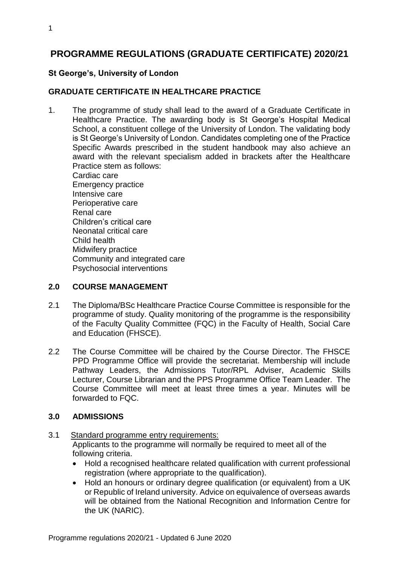# **PROGRAMME REGULATIONS (GRADUATE CERTIFICATE) 2020/21**

#### **St George's, University of London**

### **GRADUATE CERTIFICATE IN HEALTHCARE PRACTICE**

1. The programme of study shall lead to the award of a Graduate Certificate in Healthcare Practice. The awarding body is St George's Hospital Medical School, a constituent college of the University of London. The validating body is St George's University of London. Candidates completing one of the Practice Specific Awards prescribed in the student handbook may also achieve an award with the relevant specialism added in brackets after the Healthcare Practice stem as follows: Cardiac care Emergency practice Intensive care Perioperative care Renal care

Children's critical care Neonatal critical care Child health Midwifery practice Community and integrated care Psychosocial interventions

#### **2.0 COURSE MANAGEMENT**

- 2.1 The Diploma/BSc Healthcare Practice Course Committee is responsible for the programme of study. Quality monitoring of the programme is the responsibility of the Faculty Quality Committee (FQC) in the Faculty of Health, Social Care and Education (FHSCE).
- 2.2 The Course Committee will be chaired by the Course Director. The FHSCE PPD Programme Office will provide the secretariat. Membership will include Pathway Leaders, the Admissions Tutor/RPL Adviser, Academic Skills Lecturer, Course Librarian and the PPS Programme Office Team Leader. The Course Committee will meet at least three times a year. Minutes will be forwarded to FQC.

#### **3.0 ADMISSIONS**

- 3.1 Standard programme entry requirements: Applicants to the programme will normally be required to meet all of the following criteria.
	- Hold a recognised healthcare related qualification with current professional registration (where appropriate to the qualification).
	- Hold an honours or ordinary degree qualification (or equivalent) from a UK or Republic of Ireland university. Advice on equivalence of overseas awards will be obtained from the National Recognition and Information Centre for the UK (NARIC).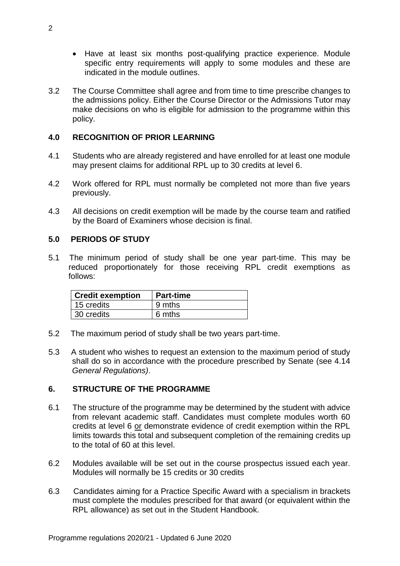- Have at least six months post-qualifying practice experience. Module specific entry requirements will apply to some modules and these are indicated in the module outlines.
- 3.2 The Course Committee shall agree and from time to time prescribe changes to the admissions policy. Either the Course Director or the Admissions Tutor may make decisions on who is eligible for admission to the programme within this policy.

## **4.0 RECOGNITION OF PRIOR LEARNING**

- 4.1 Students who are already registered and have enrolled for at least one module may present claims for additional RPL up to 30 credits at level 6.
- 4.2 Work offered for RPL must normally be completed not more than five years previously.
- 4.3 All decisions on credit exemption will be made by the course team and ratified by the Board of Examiners whose decision is final.

#### **5.0 PERIODS OF STUDY**

5.1 The minimum period of study shall be one year part-time. This may be reduced proportionately for those receiving RPL credit exemptions as follows:

| <b>Credit exemption</b> | Part-time |
|-------------------------|-----------|
| 15 credits              | 9 mths    |
| 30 credits              | 6 mths    |

- 5.2 The maximum period of study shall be two years part-time.
- 5.3 A student who wishes to request an extension to the maximum period of study shall do so in accordance with the procedure prescribed by Senate (see 4.14 *General Regulations)*.

#### **6. STRUCTURE OF THE PROGRAMME**

- 6.1 The structure of the programme may be determined by the student with advice from relevant academic staff. Candidates must complete modules worth 60 credits at level 6 or demonstrate evidence of credit exemption within the RPL limits towards this total and subsequent completion of the remaining credits up to the total of 60 at this level.
- 6.2 Modules available will be set out in the course prospectus issued each year. Modules will normally be 15 credits or 30 credits
- 6.3 Candidates aiming for a Practice Specific Award with a specialism in brackets must complete the modules prescribed for that award (or equivalent within the RPL allowance) as set out in the Student Handbook.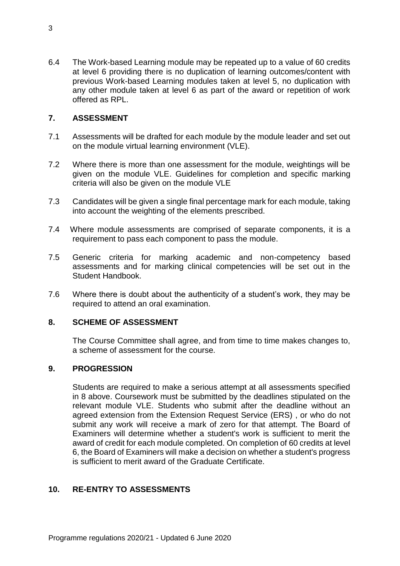6.4 The Work-based Learning module may be repeated up to a value of 60 credits at level 6 providing there is no duplication of learning outcomes/content with previous Work-based Learning modules taken at level 5, no duplication with any other module taken at level 6 as part of the award or repetition of work offered as RPL.

## **7. ASSESSMENT**

- 7.1 Assessments will be drafted for each module by the module leader and set out on the module virtual learning environment (VLE).
- 7.2 Where there is more than one assessment for the module, weightings will be given on the module VLE. Guidelines for completion and specific marking criteria will also be given on the module VLE
- 7.3 Candidates will be given a single final percentage mark for each module, taking into account the weighting of the elements prescribed.
- 7.4 Where module assessments are comprised of separate components, it is a requirement to pass each component to pass the module.
- 7.5 Generic criteria for marking academic and non-competency based assessments and for marking clinical competencies will be set out in the Student Handbook.
- 7.6 Where there is doubt about the authenticity of a student's work, they may be required to attend an oral examination.

#### **8. SCHEME OF ASSESSMENT**

The Course Committee shall agree, and from time to time makes changes to, a scheme of assessment for the course.

#### **9. PROGRESSION**

Students are required to make a serious attempt at all assessments specified in 8 above. Coursework must be submitted by the deadlines stipulated on the relevant module VLE. Students who submit after the deadline without an agreed extension from the Extension Request Service (ERS) , or who do not submit any work will receive a mark of zero for that attempt. The Board of Examiners will determine whether a student's work is sufficient to merit the award of credit for each module completed. On completion of 60 credits at level 6, the Board of Examiners will make a decision on whether a student's progress is sufficient to merit award of the Graduate Certificate.

### **10. RE-ENTRY TO ASSESSMENTS**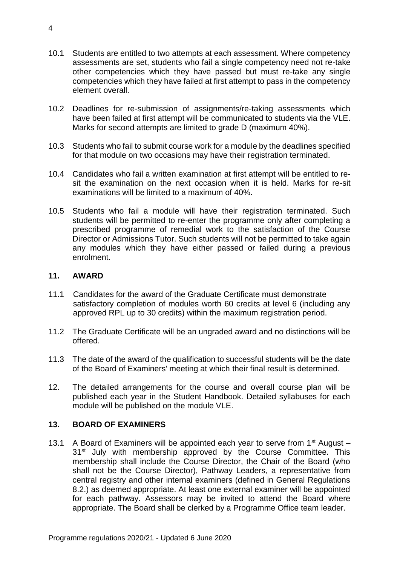- 10.1 Students are entitled to two attempts at each assessment. Where competency assessments are set, students who fail a single competency need not re-take other competencies which they have passed but must re-take any single competencies which they have failed at first attempt to pass in the competency element overall.
- 10.2 Deadlines for re-submission of assignments/re-taking assessments which have been failed at first attempt will be communicated to students via the VLE. Marks for second attempts are limited to grade D (maximum 40%).
- 10.3 Students who fail to submit course work for a module by the deadlines specified for that module on two occasions may have their registration terminated.
- 10.4 Candidates who fail a written examination at first attempt will be entitled to resit the examination on the next occasion when it is held. Marks for re-sit examinations will be limited to a maximum of 40%.
- 10.5 Students who fail a module will have their registration terminated. Such students will be permitted to re-enter the programme only after completing a prescribed programme of remedial work to the satisfaction of the Course Director or Admissions Tutor. Such students will not be permitted to take again any modules which they have either passed or failed during a previous enrolment.

#### **11. AWARD**

- 11.1 Candidates for the award of the Graduate Certificate must demonstrate satisfactory completion of modules worth 60 credits at level 6 (including any approved RPL up to 30 credits) within the maximum registration period.
- 11.2 The Graduate Certificate will be an ungraded award and no distinctions will be offered.
- 11.3 The date of the award of the qualification to successful students will be the date of the Board of Examiners' meeting at which their final result is determined.
- 12. The detailed arrangements for the course and overall course plan will be published each year in the Student Handbook. Detailed syllabuses for each module will be published on the module VLE.

#### **13. BOARD OF EXAMINERS**

13.1 A Board of Examiners will be appointed each year to serve from  $1<sup>st</sup>$  August – 31<sup>st</sup> July with membership approved by the Course Committee. This membership shall include the Course Director, the Chair of the Board (who shall not be the Course Director), Pathway Leaders, a representative from central registry and other internal examiners (defined in General Regulations 8.2.) as deemed appropriate. At least one external examiner will be appointed for each pathway. Assessors may be invited to attend the Board where appropriate. The Board shall be clerked by a Programme Office team leader.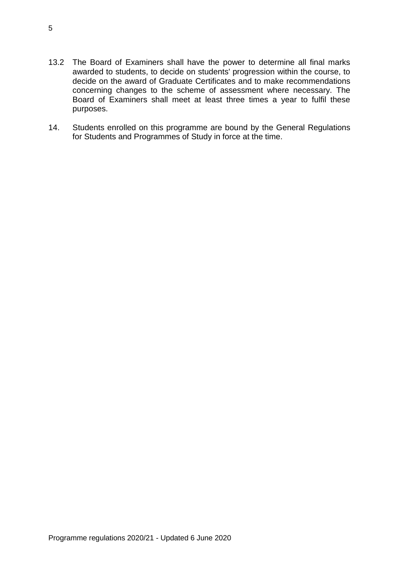- 13.2 The Board of Examiners shall have the power to determine all final marks awarded to students, to decide on students' progression within the course, to decide on the award of Graduate Certificates and to make recommendations concerning changes to the scheme of assessment where necessary. The Board of Examiners shall meet at least three times a year to fulfil these purposes.
- 14. Students enrolled on this programme are bound by the General Regulations for Students and Programmes of Study in force at the time.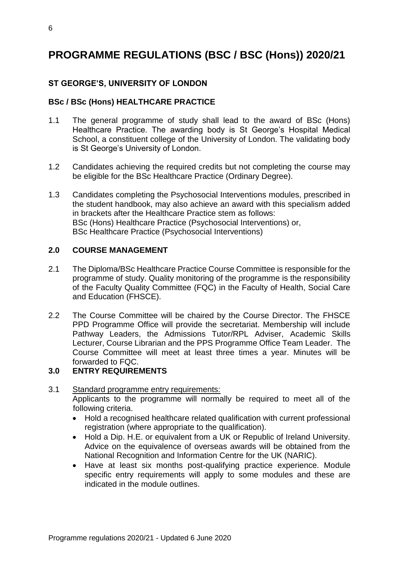# **PROGRAMME REGULATIONS (BSC / BSC (Hons)) 2020/21**

# **ST GEORGE'S, UNIVERSITY OF LONDON**

# **BSc / BSc (Hons) HEALTHCARE PRACTICE**

- 1.1 The general programme of study shall lead to the award of BSc (Hons) Healthcare Practice. The awarding body is St George's Hospital Medical School, a constituent college of the University of London. The validating body is St George's University of London.
- 1.2 Candidates achieving the required credits but not completing the course may be eligible for the BSc Healthcare Practice (Ordinary Degree).
- 1.3 Candidates completing the Psychosocial Interventions modules, prescribed in the student handbook, may also achieve an award with this specialism added in brackets after the Healthcare Practice stem as follows: BSc (Hons) Healthcare Practice (Psychosocial Interventions) or, BSc Healthcare Practice (Psychosocial Interventions)

#### **2.0 COURSE MANAGEMENT**

- 2.1 The Diploma/BSc Healthcare Practice Course Committee is responsible for the programme of study. Quality monitoring of the programme is the responsibility of the Faculty Quality Committee (FQC) in the Faculty of Health, Social Care and Education (FHSCE).
- 2.2 The Course Committee will be chaired by the Course Director. The FHSCE PPD Programme Office will provide the secretariat. Membership will include Pathway Leaders, the Admissions Tutor/RPL Adviser, Academic Skills Lecturer, Course Librarian and the PPS Programme Office Team Leader. The Course Committee will meet at least three times a year. Minutes will be forwarded to FQC.

#### **3.0 ENTRY REQUIREMENTS**

#### 3.1 Standard programme entry requirements: Applicants to the programme will normally be required to meet all of the following criteria.

- Hold a recognised healthcare related qualification with current professional registration (where appropriate to the qualification).
- Hold a Dip. H.E. or equivalent from a UK or Republic of Ireland University. Advice on the equivalence of overseas awards will be obtained from the National Recognition and Information Centre for the UK (NARIC).
- Have at least six months post-qualifying practice experience. Module specific entry requirements will apply to some modules and these are indicated in the module outlines.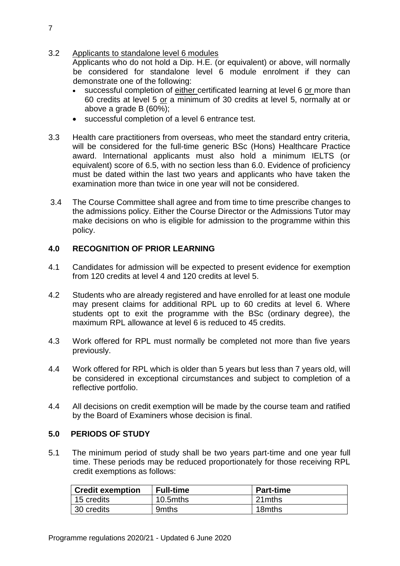3.2 Applicants to standalone level 6 modules

Applicants who do not hold a Dip. H.E. (or equivalent) or above, will normally be considered for standalone level 6 module enrolment if they can demonstrate one of the following:

- successful completion of either certificated learning at level 6 or more than 60 credits at level 5 or a minimum of 30 credits at level 5, normally at or above a grade B (60%);
- successful completion of a level 6 entrance test.
- 3.3 Health care practitioners from overseas, who meet the standard entry criteria, will be considered for the full-time generic BSc (Hons) Healthcare Practice award. International applicants must also hold a minimum IELTS (or equivalent) score of 6.5, with no section less than 6.0. Evidence of proficiency must be dated within the last two years and applicants who have taken the examination more than twice in one year will not be considered.
- 3.4 The Course Committee shall agree and from time to time prescribe changes to the admissions policy. Either the Course Director or the Admissions Tutor may make decisions on who is eligible for admission to the programme within this policy.

# **4.0 RECOGNITION OF PRIOR LEARNING**

- 4.1 Candidates for admission will be expected to present evidence for exemption from 120 credits at level 4 and 120 credits at level 5.
- 4.2 Students who are already registered and have enrolled for at least one module may present claims for additional RPL up to 60 credits at level 6. Where students opt to exit the programme with the BSc (ordinary degree), the maximum RPL allowance at level 6 is reduced to 45 credits.
- 4.3 Work offered for RPL must normally be completed not more than five years previously.
- 4.4 Work offered for RPL which is older than 5 years but less than 7 years old, will be considered in exceptional circumstances and subject to completion of a reflective portfolio.
- 4.4 All decisions on credit exemption will be made by the course team and ratified by the Board of Examiners whose decision is final.

#### **5.0 PERIODS OF STUDY**

5.1 The minimum period of study shall be two years part-time and one year full time. These periods may be reduced proportionately for those receiving RPL credit exemptions as follows:

| <b>Credit exemption</b> | <b>Full-time</b> | <b>Part-time</b> |
|-------------------------|------------------|------------------|
| 15 credits              | 10.5mths         | 21mths           |
| 30 credits              | 9mths            | 18mths           |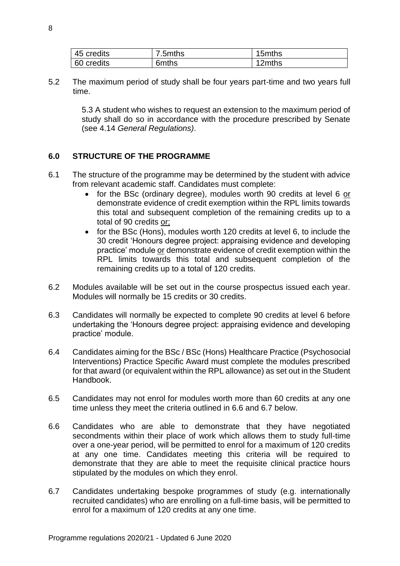| 45 credits | 7.5mths | 15mths |
|------------|---------|--------|
| 60 credits | 6mths   | 12mths |

5.2 The maximum period of study shall be four years part-time and two years full time.

> 5.3 A student who wishes to request an extension to the maximum period of study shall do so in accordance with the procedure prescribed by Senate (see 4.14 *General Regulations)*.

## **6.0 STRUCTURE OF THE PROGRAMME**

- 6.1 The structure of the programme may be determined by the student with advice from relevant academic staff. Candidates must complete:
	- for the BSc (ordinary degree), modules worth 90 credits at level 6 or demonstrate evidence of credit exemption within the RPL limits towards this total and subsequent completion of the remaining credits up to a total of 90 credits or;
	- for the BSc (Hons), modules worth 120 credits at level 6, to include the 30 credit 'Honours degree project: appraising evidence and developing practice' module or demonstrate evidence of credit exemption within the RPL limits towards this total and subsequent completion of the remaining credits up to a total of 120 credits.
- 6.2 Modules available will be set out in the course prospectus issued each year. Modules will normally be 15 credits or 30 credits.
- 6.3 Candidates will normally be expected to complete 90 credits at level 6 before undertaking the 'Honours degree project: appraising evidence and developing practice' module.
- 6.4 Candidates aiming for the BSc / BSc (Hons) Healthcare Practice (Psychosocial Interventions) Practice Specific Award must complete the modules prescribed for that award (or equivalent within the RPL allowance) as set out in the Student Handbook.
- 6.5 Candidates may not enrol for modules worth more than 60 credits at any one time unless they meet the criteria outlined in 6.6 and 6.7 below.
- 6.6 Candidates who are able to demonstrate that they have negotiated secondments within their place of work which allows them to study full-time over a one-year period, will be permitted to enrol for a maximum of 120 credits at any one time. Candidates meeting this criteria will be required to demonstrate that they are able to meet the requisite clinical practice hours stipulated by the modules on which they enrol.
- 6.7 Candidates undertaking bespoke programmes of study (e.g. internationally recruited candidates) who are enrolling on a full-time basis, will be permitted to enrol for a maximum of 120 credits at any one time.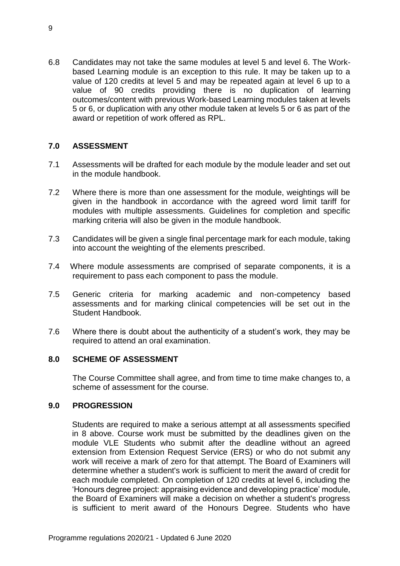6.8 Candidates may not take the same modules at level 5 and level 6. The Workbased Learning module is an exception to this rule. It may be taken up to a value of 120 credits at level 5 and may be repeated again at level 6 up to a value of 90 credits providing there is no duplication of learning outcomes/content with previous Work-based Learning modules taken at levels 5 or 6, or duplication with any other module taken at levels 5 or 6 as part of the award or repetition of work offered as RPL.

## **7.0 ASSESSMENT**

- 7.1 Assessments will be drafted for each module by the module leader and set out in the module handbook.
- 7.2 Where there is more than one assessment for the module, weightings will be given in the handbook in accordance with the agreed word limit tariff for modules with multiple assessments. Guidelines for completion and specific marking criteria will also be given in the module handbook.
- 7.3 Candidates will be given a single final percentage mark for each module, taking into account the weighting of the elements prescribed.
- 7.4 Where module assessments are comprised of separate components, it is a requirement to pass each component to pass the module.
- 7.5 Generic criteria for marking academic and non-competency based assessments and for marking clinical competencies will be set out in the Student Handbook.
- 7.6 Where there is doubt about the authenticity of a student's work, they may be required to attend an oral examination.

#### **8.0 SCHEME OF ASSESSMENT**

The Course Committee shall agree, and from time to time make changes to, a scheme of assessment for the course.

#### **9.0 PROGRESSION**

Students are required to make a serious attempt at all assessments specified in 8 above. Course work must be submitted by the deadlines given on the module VLE Students who submit after the deadline without an agreed extension from Extension Request Service (ERS) or who do not submit any work will receive a mark of zero for that attempt. The Board of Examiners will determine whether a student's work is sufficient to merit the award of credit for each module completed. On completion of 120 credits at level 6, including the 'Honours degree project: appraising evidence and developing practice' module, the Board of Examiners will make a decision on whether a student's progress is sufficient to merit award of the Honours Degree. Students who have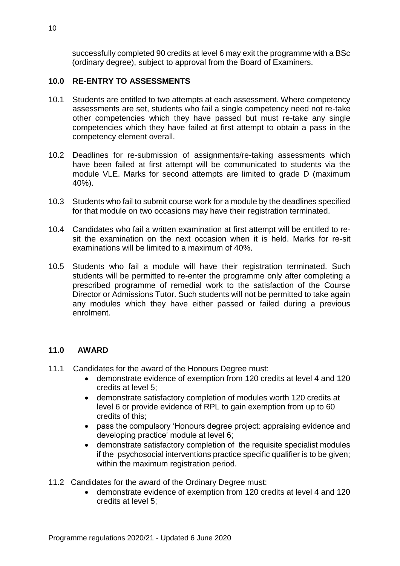successfully completed 90 credits at level 6 may exit the programme with a BSc (ordinary degree), subject to approval from the Board of Examiners.

# **10.0 RE-ENTRY TO ASSESSMENTS**

- 10.1 Students are entitled to two attempts at each assessment. Where competency assessments are set, students who fail a single competency need not re-take other competencies which they have passed but must re-take any single competencies which they have failed at first attempt to obtain a pass in the competency element overall.
- 10.2 Deadlines for re-submission of assignments/re-taking assessments which have been failed at first attempt will be communicated to students via the module VLE. Marks for second attempts are limited to grade D (maximum 40%).
- 10.3 Students who fail to submit course work for a module by the deadlines specified for that module on two occasions may have their registration terminated.
- 10.4 Candidates who fail a written examination at first attempt will be entitled to resit the examination on the next occasion when it is held. Marks for re-sit examinations will be limited to a maximum of 40%.
- 10.5 Students who fail a module will have their registration terminated. Such students will be permitted to re-enter the programme only after completing a prescribed programme of remedial work to the satisfaction of the Course Director or Admissions Tutor. Such students will not be permitted to take again any modules which they have either passed or failed during a previous enrolment.

# **11.0 AWARD**

- 11.1 Candidates for the award of the Honours Degree must:
	- demonstrate evidence of exemption from 120 credits at level 4 and 120 credits at level 5;
	- demonstrate satisfactory completion of modules worth 120 credits at level 6 or provide evidence of RPL to gain exemption from up to 60 credits of this;
	- pass the compulsory 'Honours degree project: appraising evidence and developing practice' module at level 6;
	- demonstrate satisfactory completion of the requisite specialist modules if the psychosocial interventions practice specific qualifier is to be given; within the maximum registration period.
- 11.2 Candidates for the award of the Ordinary Degree must:
	- demonstrate evidence of exemption from 120 credits at level 4 and 120 credits at level 5;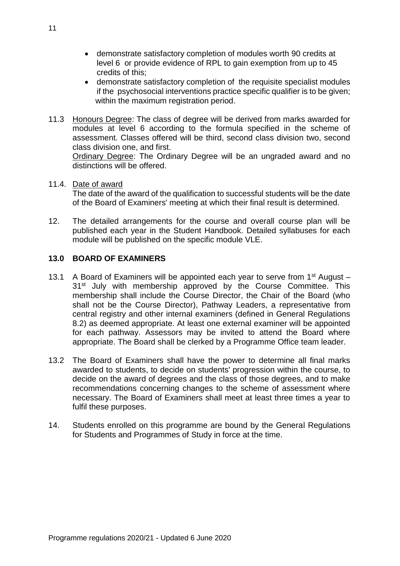- demonstrate satisfactory completion of modules worth 90 credits at level 6 or provide evidence of RPL to gain exemption from up to 45 credits of this;
- demonstrate satisfactory completion of the requisite specialist modules if the psychosocial interventions practice specific qualifier is to be given; within the maximum registration period.
- 11.3 Honours Degree: The class of degree will be derived from marks awarded for modules at level 6 according to the formula specified in the scheme of assessment. Classes offered will be third, second class division two, second class division one, and first.

Ordinary Degree: The Ordinary Degree will be an ungraded award and no distinctions will be offered.

#### 11.4. Date of award

The date of the award of the qualification to successful students will be the date of the Board of Examiners' meeting at which their final result is determined.

12. The detailed arrangements for the course and overall course plan will be published each year in the Student Handbook. Detailed syllabuses for each module will be published on the specific module VLE.

#### **13.0 BOARD OF EXAMINERS**

- 13.1 A Board of Examiners will be appointed each year to serve from  $1<sup>st</sup>$  August 31<sup>st</sup> July with membership approved by the Course Committee. This membership shall include the Course Director, the Chair of the Board (who shall not be the Course Director), Pathway Leaders, a representative from central registry and other internal examiners (defined in General Regulations 8.2) as deemed appropriate. At least one external examiner will be appointed for each pathway. Assessors may be invited to attend the Board where appropriate. The Board shall be clerked by a Programme Office team leader.
- 13.2 The Board of Examiners shall have the power to determine all final marks awarded to students, to decide on students' progression within the course, to decide on the award of degrees and the class of those degrees, and to make recommendations concerning changes to the scheme of assessment where necessary. The Board of Examiners shall meet at least three times a year to fulfil these purposes.
- 14. Students enrolled on this programme are bound by the General Regulations for Students and Programmes of Study in force at the time.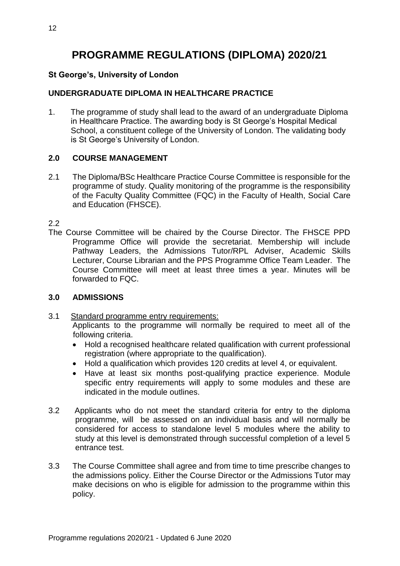# **PROGRAMME REGULATIONS (DIPLOMA) 2020/21**

# **St George's, University of London**

# **UNDERGRADUATE DIPLOMA IN HEALTHCARE PRACTICE**

1. The programme of study shall lead to the award of an undergraduate Diploma in Healthcare Practice. The awarding body is St George's Hospital Medical School, a constituent college of the University of London. The validating body is St George's University of London.

## **2.0 COURSE MANAGEMENT**

2.1 The Diploma/BSc Healthcare Practice Course Committee is responsible for the programme of study. Quality monitoring of the programme is the responsibility of the Faculty Quality Committee (FQC) in the Faculty of Health, Social Care and Education (FHSCE).

2.2

The Course Committee will be chaired by the Course Director. The FHSCE PPD Programme Office will provide the secretariat. Membership will include Pathway Leaders, the Admissions Tutor/RPL Adviser, Academic Skills Lecturer, Course Librarian and the PPS Programme Office Team Leader. The Course Committee will meet at least three times a year. Minutes will be forwarded to FQC.

#### **3.0 ADMISSIONS**

- 3.1 Standard programme entry requirements: Applicants to the programme will normally be required to meet all of the following criteria.
	- Hold a recognised healthcare related qualification with current professional registration (where appropriate to the qualification).
	- Hold a qualification which provides 120 credits at level 4, or equivalent.
	- Have at least six months post-qualifying practice experience. Module specific entry requirements will apply to some modules and these are indicated in the module outlines.
- 3.2 Applicants who do not meet the standard criteria for entry to the diploma programme, will be assessed on an individual basis and will normally be considered for access to standalone level 5 modules where the ability to study at this level is demonstrated through successful completion of a level 5 entrance test.
- 3.3 The Course Committee shall agree and from time to time prescribe changes to the admissions policy. Either the Course Director or the Admissions Tutor may make decisions on who is eligible for admission to the programme within this policy.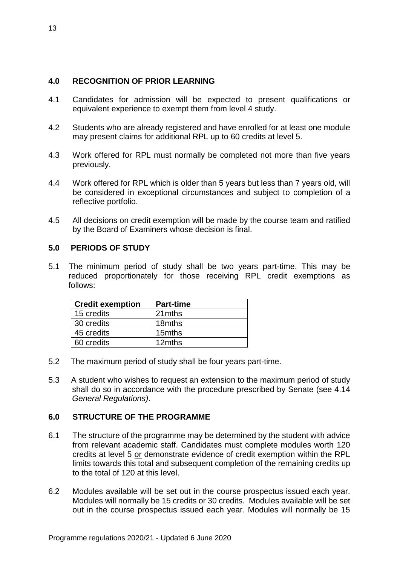# **4.0 RECOGNITION OF PRIOR LEARNING**

- 4.1 Candidates for admission will be expected to present qualifications or equivalent experience to exempt them from level 4 study.
- 4.2 Students who are already registered and have enrolled for at least one module may present claims for additional RPL up to 60 credits at level 5.
- 4.3 Work offered for RPL must normally be completed not more than five years previously.
- 4.4 Work offered for RPL which is older than 5 years but less than 7 years old, will be considered in exceptional circumstances and subject to completion of a reflective portfolio.
- 4.5 All decisions on credit exemption will be made by the course team and ratified by the Board of Examiners whose decision is final.

#### **5.0 PERIODS OF STUDY**

5.1 The minimum period of study shall be two years part-time. This may be reduced proportionately for those receiving RPL credit exemptions as follows:

| <b>Credit exemption</b> | <b>Part-time</b> |
|-------------------------|------------------|
| 15 credits              | 21mths           |
| 30 credits              | 18mths           |
| 45 credits              | 15mths           |
| 60 credits              | 12mths           |

- 5.2 The maximum period of study shall be four years part-time.
- 5.3 A student who wishes to request an extension to the maximum period of study shall do so in accordance with the procedure prescribed by Senate (see 4.14 *General Regulations)*.

#### **6.0 STRUCTURE OF THE PROGRAMME**

- 6.1 The structure of the programme may be determined by the student with advice from relevant academic staff. Candidates must complete modules worth 120 credits at level 5 or demonstrate evidence of credit exemption within the RPL limits towards this total and subsequent completion of the remaining credits up to the total of 120 at this level.
- 6.2 Modules available will be set out in the course prospectus issued each year. Modules will normally be 15 credits or 30 credits. Modules available will be set out in the course prospectus issued each year. Modules will normally be 15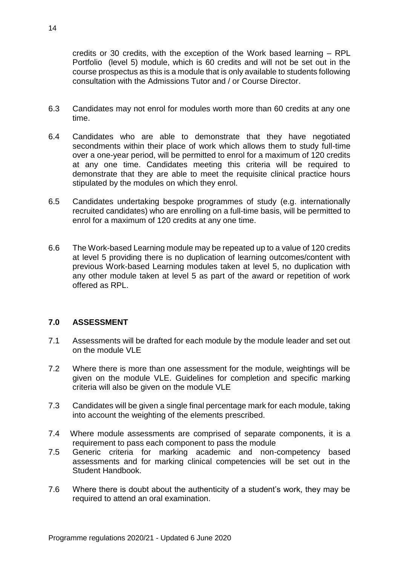credits or 30 credits, with the exception of the Work based learning – RPL Portfolio (level 5) module, which is 60 credits and will not be set out in the course prospectus as this is a module that is only available to students following consultation with the Admissions Tutor and / or Course Director.

- 6.3 Candidates may not enrol for modules worth more than 60 credits at any one time.
- 6.4 Candidates who are able to demonstrate that they have negotiated secondments within their place of work which allows them to study full-time over a one-year period, will be permitted to enrol for a maximum of 120 credits at any one time. Candidates meeting this criteria will be required to demonstrate that they are able to meet the requisite clinical practice hours stipulated by the modules on which they enrol.
- 6.5 Candidates undertaking bespoke programmes of study (e.g. internationally recruited candidates) who are enrolling on a full-time basis, will be permitted to enrol for a maximum of 120 credits at any one time.
- 6.6 The Work-based Learning module may be repeated up to a value of 120 credits at level 5 providing there is no duplication of learning outcomes/content with previous Work-based Learning modules taken at level 5, no duplication with any other module taken at level 5 as part of the award or repetition of work offered as RPL.

#### **7.0 ASSESSMENT**

- 7.1 Assessments will be drafted for each module by the module leader and set out on the module VLE
- 7.2 Where there is more than one assessment for the module, weightings will be given on the module VLE. Guidelines for completion and specific marking criteria will also be given on the module VLE
- 7.3 Candidates will be given a single final percentage mark for each module, taking into account the weighting of the elements prescribed.
- 7.4 Where module assessments are comprised of separate components, it is a requirement to pass each component to pass the module
- 7.5 Generic criteria for marking academic and non-competency based assessments and for marking clinical competencies will be set out in the Student Handbook.
- 7.6 Where there is doubt about the authenticity of a student's work, they may be required to attend an oral examination.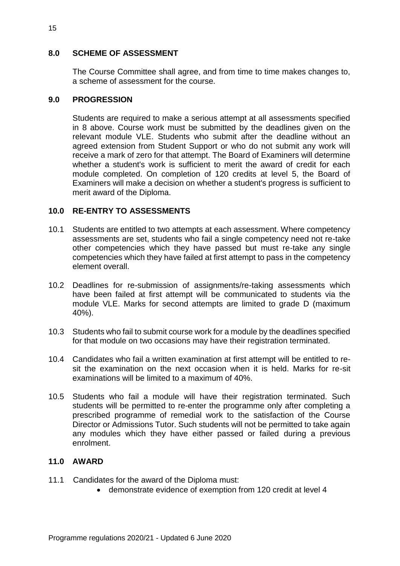### **8.0 SCHEME OF ASSESSMENT**

The Course Committee shall agree, and from time to time makes changes to, a scheme of assessment for the course.

#### **9.0 PROGRESSION**

Students are required to make a serious attempt at all assessments specified in 8 above. Course work must be submitted by the deadlines given on the relevant module VLE. Students who submit after the deadline without an agreed extension from Student Support or who do not submit any work will receive a mark of zero for that attempt. The Board of Examiners will determine whether a student's work is sufficient to merit the award of credit for each module completed. On completion of 120 credits at level 5, the Board of Examiners will make a decision on whether a student's progress is sufficient to merit award of the Diploma.

#### **10.0 RE-ENTRY TO ASSESSMENTS**

- 10.1 Students are entitled to two attempts at each assessment. Where competency assessments are set, students who fail a single competency need not re-take other competencies which they have passed but must re-take any single competencies which they have failed at first attempt to pass in the competency element overall.
- 10.2 Deadlines for re-submission of assignments/re-taking assessments which have been failed at first attempt will be communicated to students via the module VLE. Marks for second attempts are limited to grade D (maximum 40%).
- 10.3 Students who fail to submit course work for a module by the deadlines specified for that module on two occasions may have their registration terminated.
- 10.4 Candidates who fail a written examination at first attempt will be entitled to resit the examination on the next occasion when it is held. Marks for re-sit examinations will be limited to a maximum of 40%.
- 10.5 Students who fail a module will have their registration terminated. Such students will be permitted to re-enter the programme only after completing a prescribed programme of remedial work to the satisfaction of the Course Director or Admissions Tutor. Such students will not be permitted to take again any modules which they have either passed or failed during a previous enrolment.

# **11.0 AWARD**

- 11.1 Candidates for the award of the Diploma must:
	- demonstrate evidence of exemption from 120 credit at level 4